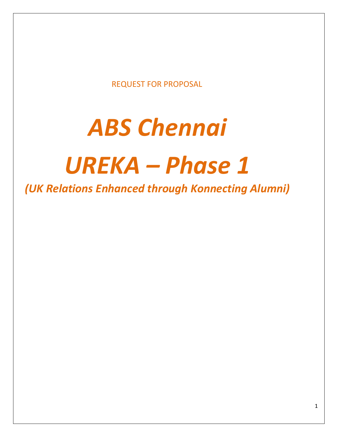REQUEST FOR PROPOSAL

# *ABS Chennai UREKA – Phase 1*

*(UK Relations Enhanced through Konnecting Alumni)*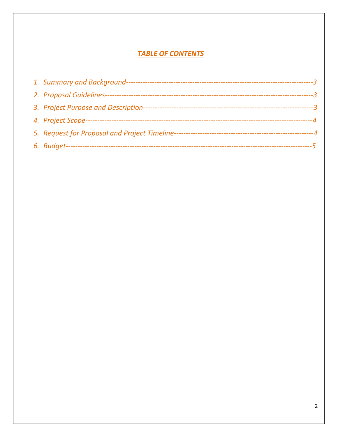### **TABLE OF CONTENTS**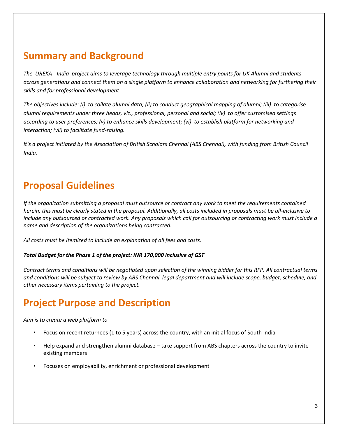## **Summary and Background**

*The UREKA - India project aims to leverage technology through multiple entry points for UK Alumni and students across generations and connect them on a single platform to enhance collaboration and networking for furthering their skills and for professional development*

*The objectives include: (i) to collate alumni data; (ii) to conduct geographical mapping of alumni; (iii) to categorise alumni requirements under three heads, viz., professional, personal and social; (iv) to offer customised settings according to user preferences; (v) to enhance skills development; (vi) to establish platform for networking and interaction; (vii) to facilitate fund-raising.*

*It's a project initiated by the Association of British Scholars Chennai (ABS Chennai), with funding from British Council India.*

## **Proposal Guidelines**

*If the organization submitting a proposal must outsource or contract any work to meet the requirements contained herein, this must be clearly stated in the proposal. Additionally, all costs included in proposals must be all-inclusive to include any outsourced or contracted work. Any proposals which call for outsourcing or contracting work must include a name and description of the organizations being contracted.*

*All costs must be itemized to include an explanation of all fees and costs.*

#### *Total Budget for the Phase 1 of the project: INR 170,000 inclusive of GST*

*Contract terms and conditions will be negotiated upon selection of the winning bidder for this RFP. All contractual terms and conditions will be subject to review by ABS Chennai legal department and will include scope, budget, schedule, and other necessary items pertaining to the project.*

## **Project Purpose and Description**

#### *Aim is to create a web platform to*

- Focus on recent returnees (1 to 5 years) across the country, with an initial focus of South India
- Help expand and strengthen alumni database take support from ABS chapters across the country to invite existing members
- Focuses on employability, enrichment or professional development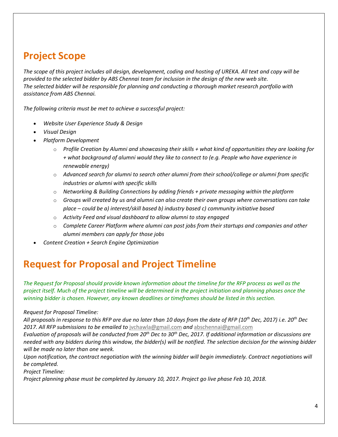## **Project Scope**

*The scope of this project includes all design, development, coding and hosting of UREKA. All text and copy will be provided to the selected bidder by ABS Chennai team for inclusion in the design of the new web site. The selected bidder will be responsible for planning and conducting a thorough market research portfolio with assistance from ABS Chennai.* 

*The following criteria must be met to achieve a successful project:*

- *Website User Experience Study & Design*
- *Visual Design*
- *Platform Development*
	- o *Profile Creation by Alumni and showcasing their skills + what kind of opportunities they are looking for + what background of alumni would they like to connect to (e.g. People who have experience in renewable energy)*
	- o *Advanced search for alumni to search other alumni from their school/college or alumni from specific industries or alumni with specific skills*
	- o *Networking & Building Connections by adding friends + private messaging within the platform*
	- o *Groups will created by us and alumni can also create their own groups where conversations can take place – could be a) interest/skill based b) industry based c) community initiative based*
	- o *Activity Feed and visual dashboard to allow alumni to stay engaged*
	- o *Complete Career Platform where alumni can post jobs from their startups and companies and other alumni members can apply for those jobs*
- *Content Creation + Search Engine Optimization*

## **Request for Proposal and Project Timeline**

*The Request for Proposal should provide known information about the timeline for the RFP process as well as the project itself. Much of the project timeline will be determined in the project initiation and planning phases once the winning bidder is chosen. However, any known deadlines or timeframes should be listed in this section.*

#### *Request for Proposal Timeline:*

*All proposals in response to this RFP are due no later than 10 days from the date of RFP (10th Dec, 2017) i.e. 20 th Dec 2017. All RFP submissions to be emailed to* [jvchawla@gmail.com](mailto:jvchawla@gmail.com) *and* [abschennai@gmail.com](mailto:abschennai@gmail.com)

*Evaluation of proposals will be conducted from 20 th Dec to 30 th Dec, 2017. If additional information or discussions are needed with any bidders during this window, the bidder(s) will be notified. The selection decision for the winning bidder will be made no later than one week.*

*Upon notification, the contract negotiation with the winning bidder will begin immediately. Contract negotiations will be completed.*

*Project Timeline:*

*Project planning phase must be completed by January 10, 2017. Project go live phase Feb 10, 2018.*